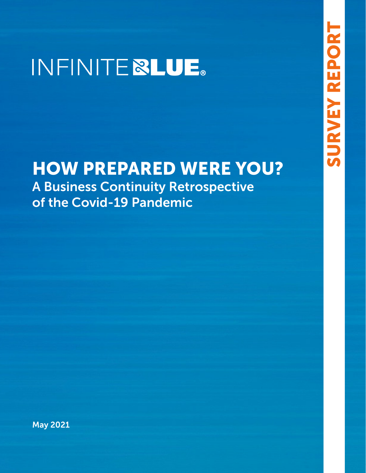# INFINITE **&LUE**.

## HOW PREPARED WERE YOU? A Business Continuity Retrospective of the Covid-19 Pandemic

May 2021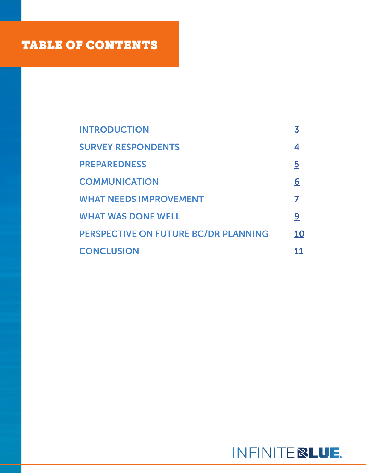### TABLE OF CONTENTS

| <b>INTRODUCTION</b>                  | <u>3</u>       |
|--------------------------------------|----------------|
| <b>SURVEY RESPONDENTS</b>            | <u>4</u>       |
| <b>PREPAREDNESS</b>                  | $\overline{5}$ |
| <b>COMMUNICATION</b>                 | <u>6</u>       |
| <b>WHAT NEEDS IMPROVEMENT</b>        | 7              |
| <b>WHAT WAS DONE WELL</b>            | <u>9</u>       |
| PERSPECTIVE ON FUTURE BC/DR PLANNING | 10             |
| <b>CONCLUSION</b>                    | 11             |

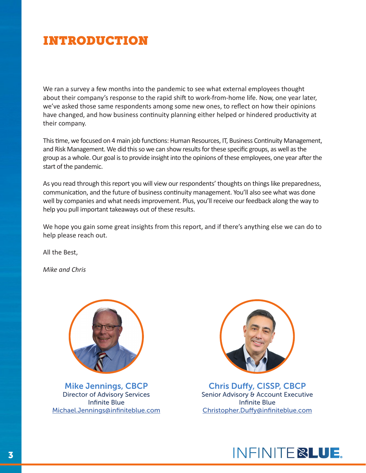### <span id="page-2-0"></span>INTRODUCTION

We ran a survey a few months into the pandemic to see what external employees thought about their company's response to the rapid shift to work-from-home life. Now, one year later, we've asked those same respondents among some new ones, to reflect on how their opinions have changed, and how business continuity planning either helped or hindered productivity at their company.

This time, we focused on 4 main job functions: Human Resources, IT, Business Continuity Management, and Risk Management. We did this so we can show results for these specific groups, as well as the group as a whole. Our goal is to provide insight into the opinions of these employees, one year after the start of the pandemic.

As you read through this report you will view our respondents' thoughts on things like preparedness, communication, and the future of business continuity management. You'll also see what was done well by companies and what needs improvement. Plus, you'll receive our feedback along the way to help you pull important takeaways out of these results.

We hope you gain some great insights from this report, and if there's anything else we can do to help please reach out.

All the Best,

*Mike and Chris*



Mike Jennings, CBCP Director of Advisory Services Infinite Blue [Michael.Jennings@infiniteblue.com](mailto:Michael.Jennings%40infiniteblue.com?subject=)



Chris Duffy, CISSP, CBCP Senior Advisory & Account Executive Infinite Blue [Christopher.Duffy@infiniteblue.com](mailto:Christopher.Duffy%40infiniteblue.com?subject=)

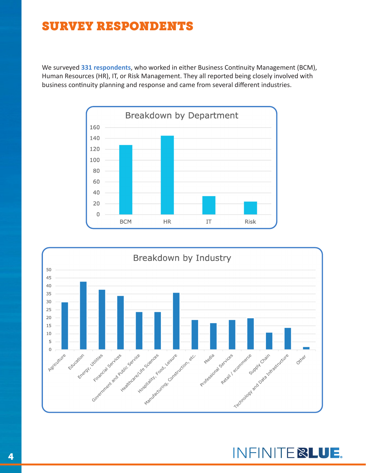### <span id="page-3-0"></span>SURVEY RESPONDENTS

We surveyed **331 respondents**, who worked in either Business Continuity Management (BCM), Human Resources (HR), IT, or Risk Management. They all reported being closely involved with business continuity planning and response and came from several different industries.





INFINITE **BLUE.**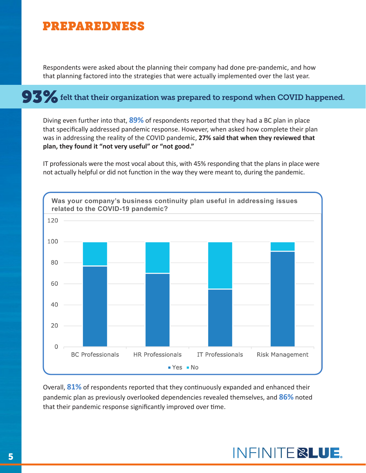#### <span id="page-4-0"></span>PREPAREDNESS

Respondents were asked about the planning their company had done pre-pandemic, and how that planning factored into the strategies that were actually implemented over the last year.

# $\bf 93\%$  felt that their organization was prepared to respond when COVID happened.

Diving even further into that, **89%** of respondents reported that they had a BC plan in place that specifically addressed pandemic response. However, when asked how complete their plan was in addressing the reality of the COVID pandemic, **27% said that when they reviewed that plan, they found it "not very useful" or "not good."**

IT professionals were the most vocal about this, with 45% responding that the plans in place were not actually helpful or did not function in the way they were meant to, during the pandemic.



Overall, **81%** of respondents reported that they continuously expanded and enhanced their pandemic plan as previously overlooked dependencies revealed themselves, and **86%** noted that their pandemic response significantly improved over time.

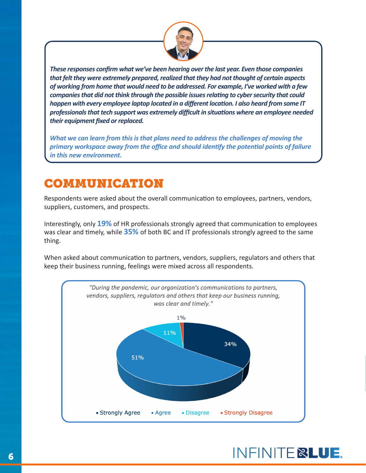

<span id="page-5-0"></span>*These responses confirm what we've been hearing over the last year. Even those companies that felt they were extremely prepared, realized that they had not thought of certain aspects of working from home that would need to be addressed. For example, I've worked with a few companies that did not think through the possible issues relating to cyber security that could happen with every employee laptop located in a different location. I also heard from some IT professionals that tech support was extremely difficult in situations where an employee needed their equipment fixed or replaced.* 

*What we can learn from this is that plans need to address the challenges of moving the primary workspace away from the office and should identify the potential points of failure in this new environment.*

### COMMUNICATION

Respondents were asked about the overall communication to employees, partners, vendors, suppliers, customers, and prospects.

Interestingly, only **19%** of HR professionals strongly agreed that communication to employees was clear and timely, while **35%** of both BC and IT professionals strongly agreed to the same thing.

When asked about communication to partners, vendors, suppliers, regulators and others that keep their business running, feelings were mixed across all respondents.

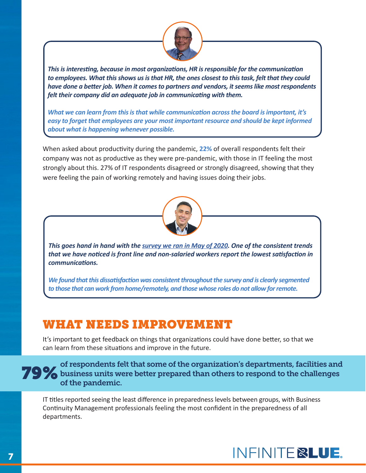

<span id="page-6-0"></span>*This is interesting, because in most organizations, HR is responsible for the communication to employees. What this shows us is that HR, the ones closest to this task, felt that they could have done a better job. When it comes to partners and vendors, it seems like most respondents felt their company did an adequate job in communicating with them.*

*What we can learn from this is that while communication across the board is important, it's easy to forget that employees are your most important resource and should be kept informed about what is happening whenever possible.*

When asked about productivity during the pandemic, **22%** of overall respondents felt their company was not as productive as they were pre-pandemic, with those in IT feeling the most strongly about this. 27% of IT respondents disagreed or strongly disagreed, showing that they were feeling the pain of working remotely and having issues doing their jobs.



*This goes hand in hand with the [survey we ran in May of 2020](https://bcinthecloud.com/covid-19-after-action-report/). One of the consistent trends that we have noticed is front line and non-salaried workers report the lowest satisfaction in communications.* 

*We found that this dissatisfaction was consistent throughout the survey and is clearly segmented to those that can work from home/remotely, and those whose roles do not allow for remote.*

### WHAT NEEDS IMPROVEMENT

It's important to get feedback on things that organizations could have done better, so that we can learn from these situations and improve in the future.

#### of respondents felt that some of the organization's departments, facilities and **79%** business units were better prepared than others to respond to the challenges of the pandemic.

IT titles reported seeing the least difference in preparedness levels between groups, with Business Continuity Management professionals feeling the most confident in the preparedness of all departments.

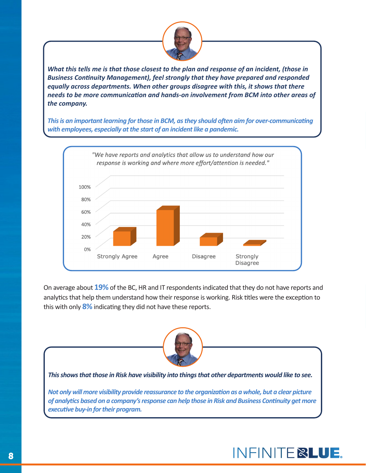

*What this tells me is that those closest to the plan and response of an incident, (those in Business Continuity Management), feel strongly that they have prepared and responded equally across departments. When other groups disagree with this, it shows that there needs to be more communication and hands-on involvement from BCM into other areas of the company.* 

*This is an important learning for those in BCM, as they should often aim for over-communicating with employees, especially at the start of an incident like a pandemic.*



On average about **19%** of the BC, HR and IT respondents indicated that they do not have reports and analytics that help them understand how their response is working. Risk titles were the exception to this with only **8%** indicating they did not have these reports.



*This shows that those in Risk have visibility into things that other departments would like to see.*

*Not only will more visibility provide reassurance to the organization as a whole, but a clear picture of analytics based on a company's response can help those in Risk and Business Continuity get more executive buy-in for their program.*

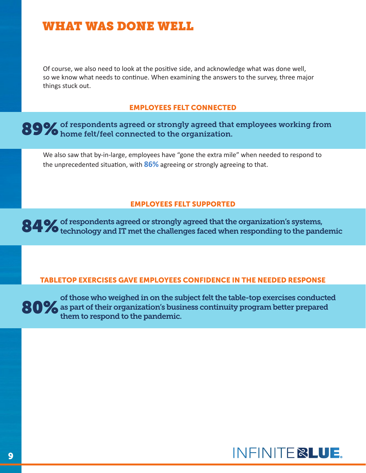#### <span id="page-8-0"></span>WHAT WAS DONE WELL

Of course, we also need to look at the positive side, and acknowledge what was done well, so we know what needs to continue. When examining the answers to the survey, three major things stuck out.

#### EMPLOYEES FELT CONNECTED

#### of respondents agreed or strongly agreed that employees working from 89% of respondents agreed or strongly agreed that<br>89% home felt/feel connected to the organization.

We also saw that by-in-large, employees have "gone the extra mile" when needed to respond to the unprecedented situation, with **86%** agreeing or strongly agreeing to that.

#### EMPLOYEES FELT SUPPORTED

of respondents agreed or strongly agreed that the organization's systems, 84  $\%$  of respondents agreed or strongly agreed that the organization's systems,<br>84  $\%$  technology and IT met the challenges faced when responding to the pandemic

#### TABLETOP EXERCISES GAVE EMPLOYEES CONFIDENCE IN THE NEEDED RESPONSE

of those who weighed in on the subject felt the table-top exercises conducted 80% as part of their organization's business continuity program better prepared them to respond to the pandemic them to respond to the pandemic.

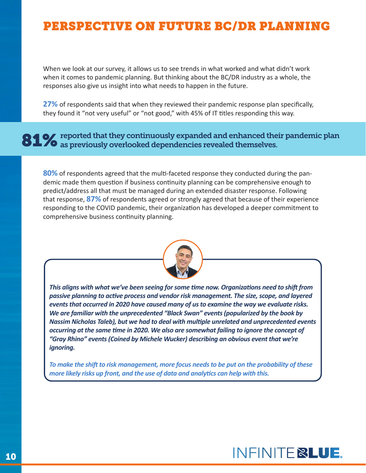### <span id="page-9-0"></span>PERSPECTIVE ON FUTURE BC/DR PLANNING

When we look at our survey, it allows us to see trends in what worked and what didn't work when it comes to pandemic planning. But thinking about the BC/DR industry as a whole, the responses also give us insight into what needs to happen in the future.

**27%** of respondents said that when they reviewed their pandemic response plan specifically, they found it "not very useful" or "not good," with 45% of IT titles responding this way.

81  $\%$  reported that they continuously expanded and enhanced their pandemic plan as previously overlooked dependencies revealed themselves.

**80%** of respondents agreed that the multi-faceted response they conducted during the pandemic made them question if business continuity planning can be comprehensive enough to predict/address all that must be managed during an extended disaster response. Following that response, **87%** of respondents agreed or strongly agreed that because of their experience responding to the COVID pandemic, their organization has developed a deeper commitment to comprehensive business continuity planning.



*This aligns with what we've been seeing for some time now. Organizations need to shift from passive planning to active process and vendor risk management. The size, scope, and layered events that occurred in 2020 have caused many of us to examine the way we evaluate risks. We are familiar with the unprecedented "Black Swan" events (popularized by the book by Nassim Nicholas Taleb), but we had to deal with multiple unrelated and unprecedented events occurring at the same time in 2020. We also are somewhat failing to ignore the concept of "Gray Rhino" events (Coined by Michele Wucker) describing an obvious event that we're ignoring.* 

*To make the shift to risk management, more focus needs to be put on the probability of these more likely risks up front, and the use of data and analytics can help with this.*

### INFINITE **&LUE.**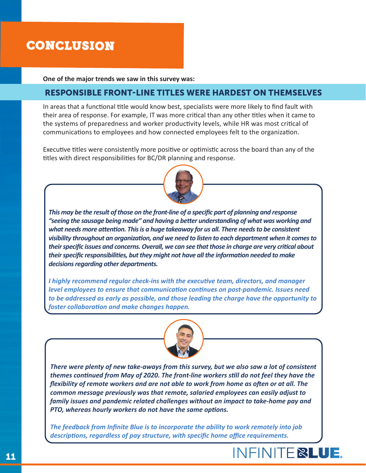### <span id="page-10-0"></span>CONCLUSION

**One of the major trends we saw in this survey was:**

#### RESPONSIBLE FRONT-LINE TITLES WERE HARDEST ON THEMSELVES

In areas that a functional title would know best, specialists were more likely to find fault with their area of response. For example, IT was more critical than any other titles when it came to the systems of preparedness and worker productivity levels, while HR was most critical of communications to employees and how connected employees felt to the organization.

Executive titles were consistently more positive or optimistic across the board than any of the titles with direct responsibilities for BC/DR planning and response.



*This may be the result of those on the front-line of a specific part of planning and response "seeing the sausage being made" and having a better understanding of what was working and what needs more attention. This is a huge takeaway for us all. There needs to be consistent visibility throughout an organization, and we need to listen to each department when it comes to their specific issues and concerns. Overall, we can see that those in charge are very critical about their specific responsibilities, but they might not have all the information needed to make decisions regarding other departments.* 

*I highly recommend regular check-ins with the executive team, directors, and manager level employees to ensure that communication continues on post-pandemic. Issues need to be addressed as early as possible, and those leading the charge have the opportunity to foster collaboration and make changes happen.*



*There were plenty of new take-aways from this survey, but we also saw a lot of consistent themes continued from May of 2020. The front-line workers still do not feel they have the flexibility of remote workers and are not able to work from home as often or at all. The common message previously was that remote, salaried employees can easily adjust to family issues and pandemic related challenges without an impact to take-home pay and PTO, whereas hourly workers do not have the same options.* 

*The feedback from Infinite Blue is to incorporate the ability to work remotely into job descriptions, regardless of pay structure, with specific home office requirements.*